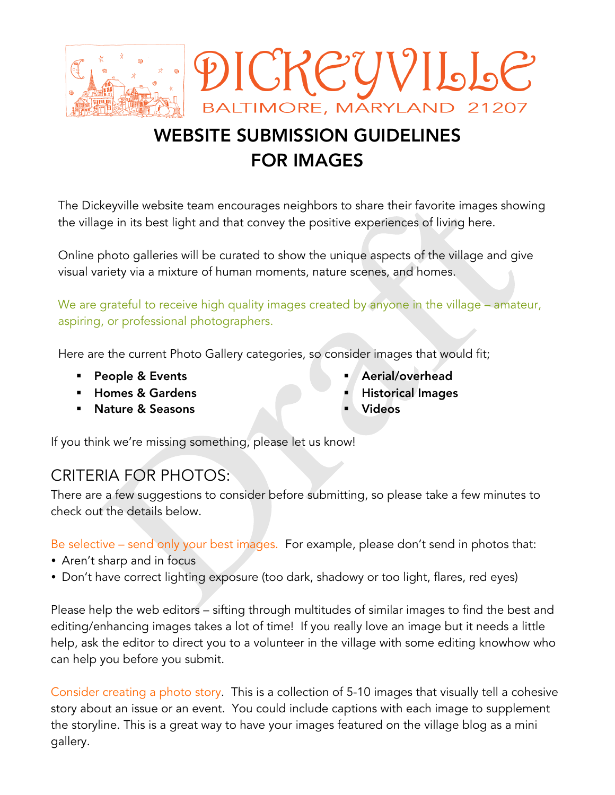

# WEBSITE SUBMISSION GUIDELINES FOR IMAGES

The Dickeyville website team encourages neighbors to share their favorite images showing the village in its best light and that convey the positive experiences of living here.

Online photo galleries will be curated to show the unique aspects of the village and give visual variety via a mixture of human moments, nature scenes, and homes.

We are grateful to receive high quality images created by anyone in the village – amateur, aspiring, or professional photographers.

Here are the current Photo Gallery categories, so consider images that would fit;

- **People & Events**
- ! Homes & Gardens
- ! Nature & Seasons
- Aerial/overhead
- **Historical Images**
- **Videos**

If you think we're missing something, please let us know!

# CRITERIA FOR PHOTOS:

There are a few suggestions to consider before submitting, so please take a few minutes to check out the details below.

Be selective – send only your best images. For example, please don't send in photos that:

- Aren't sharp and in focus
- Don't have correct lighting exposure (too dark, shadowy or too light, flares, red eyes)

Please help the web editors – sifting through multitudes of similar images to find the best and editing/enhancing images takes a lot of time! If you really love an image but it needs a little help, ask the editor to direct you to a volunteer in the village with some editing knowhow who can help you before you submit.

Consider creating a photo story. This is a collection of 5-10 images that visually tell a cohesive story about an issue or an event. You could include captions with each image to supplement the storyline. This is a great way to have your images featured on the village blog as a mini gallery.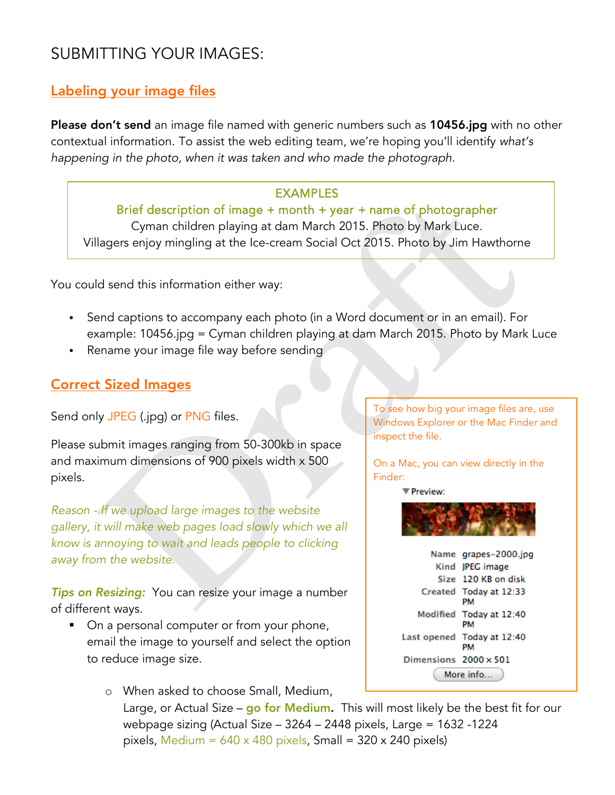# SUBMITTING YOUR IMAGES:

## Labeling your image files

Please don't send an image file named with generic numbers such as 10456.jpg with no other contextual information. To assist the web editing team, we're hoping you'll identify *what's happening in the photo, when it was taken and who made the photograph.* 

#### EXAMPLES

Brief description of image + month + year + name of photographer Cyman children playing at dam March 2015. Photo by Mark Luce. Villagers enjoy mingling at the Ice-cream Social Oct 2015. Photo by Jim Hawthorne

You could send this information either way:

- Send captions to accompany each photo (in a Word document or in an email). For example: 10456.jpg = Cyman children playing at dam March 2015. Photo by Mark Luce
- Rename your image file way before sending

### Correct Sized Images

Send only JPEG (.jpg) or PNG files.

Please submit images ranging from 50-300kb in space and maximum dimensions of 900 pixels width x 500 pixels.

*Reason - If we upload large images to the website gallery, it will make web pages load slowly which we all know is annoying to wait and leads people to clicking away from the website.*

*Tips on Resizing:* You can resize your image a number of different ways.

■ On a personal computer or from your phone, email the image to yourself and select the option to reduce image size.

> o When asked to choose Small, Medium, Large, or Actual Size – go for Medium. This will most likely be the best fit for our webpage sizing (Actual Size – 3264 – 2448 pixels, Large = 1632 -1224 pixels, Medium =  $640 \times 480$  pixels, Small = 320 x 240 pixels)

To see how big your image files are, use Windows Explorer or the Mac Finder and inspect the file.

On a Mac, you can view directly in the Finder:

▼ Preview:



Name grapes-2000.jpg Kind JPEG image Size 120 KB on disk Created Today at 12:33 PM Modified Today at 12:40 PM Last opened Today at 12:40 **PM** Dimensions  $2000 \times 501$ (More info...)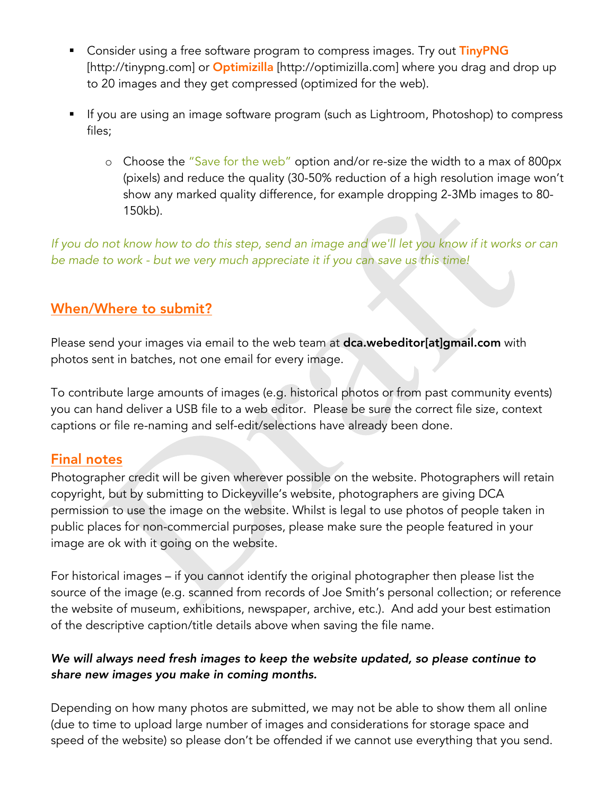- **EXTERGHT 10 Induced State Constrainery Constrainer Consider using PNG EXEC** consider using a free software SNG [http://tinypng.com] or **Optimizilla** [http://optimizilla.com] where you drag and drop up to 20 images and they get compressed (optimized for the web).
- If you are using an image software program (such as Lightroom, Photoshop) to compress files;
	- o Choose the "Save for the web" option and/or re-size the width to a max of 800px (pixels) and reduce the quality (30-50% reduction of a high resolution image won't show any marked quality difference, for example dropping 2-3Mb images to 80- 150kb).

*If you do not know how to do this step, send an image and we'll let you know if it works or can be made to work - but we very much appreciate it if you can save us this time!*

## When/Where to submit?

Please send your images via email to the web team at dca.webeditor[at]gmail.com with photos sent in batches, not one email for every image.

To contribute large amounts of images (e.g. historical photos or from past community events) you can hand deliver a USB file to a web editor. Please be sure the correct file size, context captions or file re-naming and self-edit/selections have already been done.

### Final notes

Photographer credit will be given wherever possible on the website. Photographers will retain copyright, but by submitting to Dickeyville's website, photographers are giving DCA permission to use the image on the website. Whilst is legal to use photos of people taken in public places for non-commercial purposes, please make sure the people featured in your image are ok with it going on the website.

For historical images – if you cannot identify the original photographer then please list the source of the image (e.g. scanned from records of Joe Smith's personal collection; or reference the website of museum, exhibitions, newspaper, archive, etc.). And add your best estimation of the descriptive caption/title details above when saving the file name.

#### *We will always need fresh images to keep the website updated, so please continue to share new images you make in coming months.*

Depending on how many photos are submitted, we may not be able to show them all online (due to time to upload large number of images and considerations for storage space and speed of the website) so please don't be offended if we cannot use everything that you send.